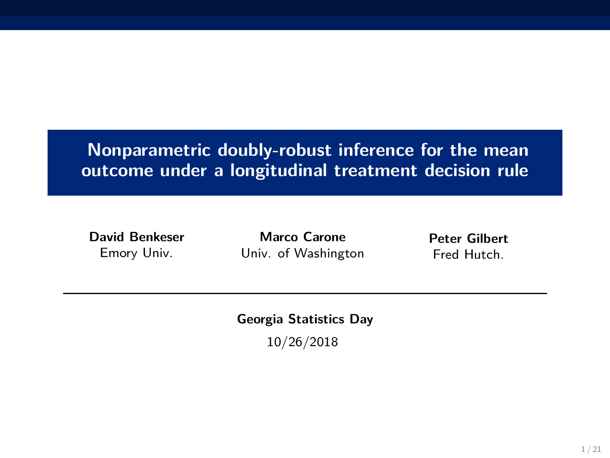# **Nonparametric doubly-robust inference for the mean outcome under a longitudinal treatment decision rule**

**David Benkeser** Emory Univ.

**Marco Carone** Univ. of Washington

**Peter Gilbert** Fred Hutch.

**Georgia Statistics Day**

10/26/2018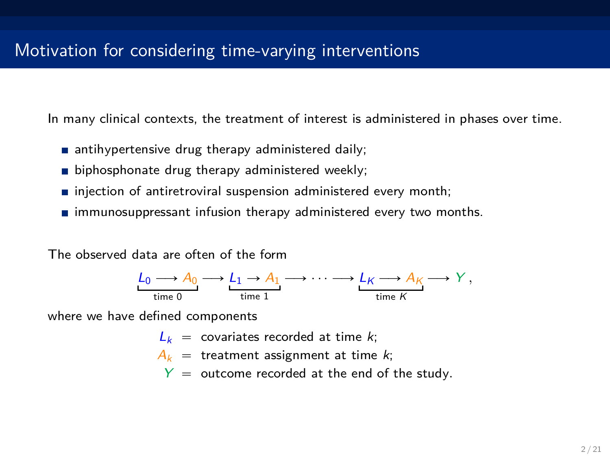In many clinical contexts, the treatment of interest is administered in phases over time.

- antihypertensive drug therapy administered daily;
- biphosphonate drug therapy administered weekly:
- $\blacksquare$  injection of antiretroviral suspension administered every month;
- $\blacksquare$  immunosuppressant infusion therapy administered every two months.

The observed data are often of the form



where we have defined components

- $L_k$  = covariates recorded at time *k*;
- $A_k$  = treatment assignment at time *k*;
	- $Y =$  outcome recorded at the end of the study.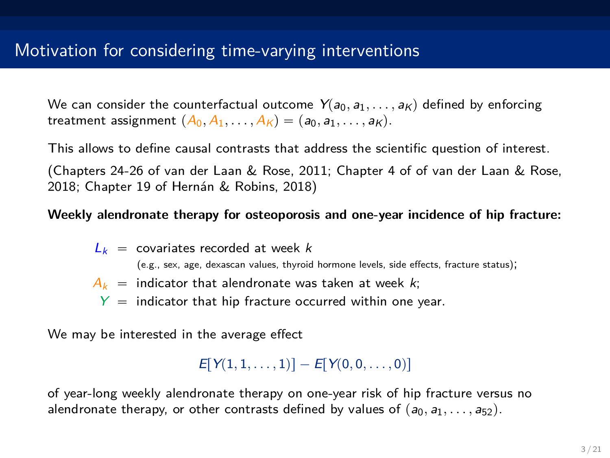We can consider the counterfactual outcome  $Y(a_0, a_1, \ldots, a_k)$  defined by enforcing treatment assignment  $(A_0, A_1, \ldots, A_k) = (a_0, a_1, \ldots, a_k)$ .

This allows to define causal contrasts that address the scientific question of interest.

(Chapters 24-26 of van der Laan & Rose, 2011; Chapter 4 of of van der Laan & Rose, 2018; Chapter 19 of Hernán & Robins, 2018)

### **Weekly alendronate therapy for osteoporosis and one-year incidence of hip fracture:**

- $L_k$  = covariates recorded at week *k* (e.g., sex, age, dexascan values, thyroid hormone levels, side effects, fracture status);  $A_k$  = indicator that alendronate was taken at week *k*;
	- $Y =$  indicator that hip fracture occurred within one year.

We may be interested in the average effect

```
E[Y(1, 1, \ldots, 1)] - E[Y(0, 0, \ldots, 0)]
```
of year-long weekly alendronate therapy on one-year risk of hip fracture versus no alendronate therapy, or other contrasts defined by values of  $(a_0, a_1, \ldots, a_{52})$ .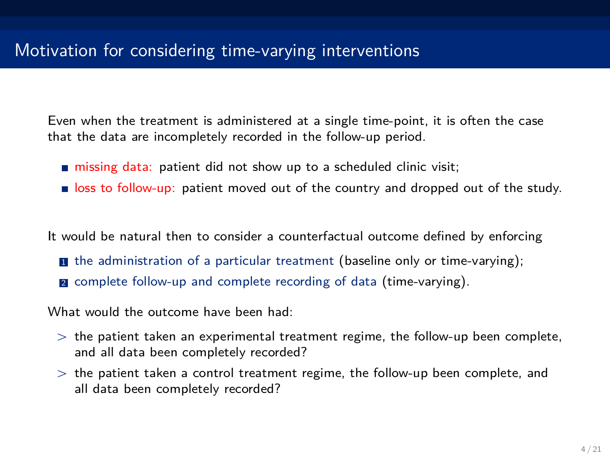Even when the treatment is administered at a single time-point, it is often the case that the data are incompletely recorded in the follow-up period.

- missing data: patient did not show up to a scheduled clinic visit:
- **If**  $\cos$  to follow-up: patient moved out of the country and dropped out of the study.

It would be natural then to consider a counterfactual outcome defined by enforcing

- $\blacksquare$  the administration of a particular treatment (baseline only or time-varying);
- **2** complete follow-up and complete recording of data (time-varying).

What would the outcome have been had:

- $>$  the patient taken an experimental treatment regime, the follow-up been complete, and all data been completely recorded?
- $>$  the patient taken a control treatment regime, the follow-up been complete, and all data been completely recorded?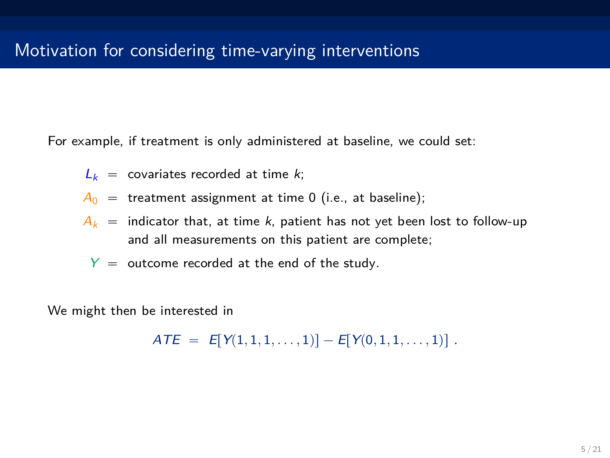For example, if treatment is only administered at baseline, we could set:

- $L_k$  = covariates recorded at time *k*;
- $A_0$  = treatment assignment at time 0 (i.e., at baseline);
- $A_k$  = indicator that, at time *k*, patient has not vet been lost to follow-up and all measurements on this patient are complete;
	- $Y =$  outcome recorded at the end of the study.

We might then be interested in

 $ATE = E[Y(1, 1, 1, \ldots, 1)] - E[Y(0, 1, 1, \ldots, 1)]$ .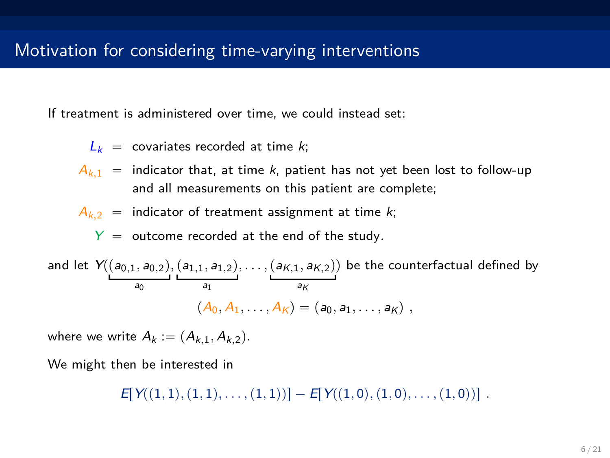If treatment is administered over time, we could instead set:

- $L_k$  = covariates recorded at time  $k$ ;
- $A_{k,1}$  = indicator that, at time *k*, patient has not yet been lost to follow-up and all measurements on this patient are complete;
- $A_{k,2}$  = indicator of treatment assignment at time *k*;

 $Y =$  outcome recorded at the end of the study.

and let 
$$
Y((a_{0,1}, a_{0,2}), (a_{1,1}, a_{1,2}), \ldots, (a_{K,1}, a_{K,2}))
$$
 be the counterfactual defined by  
\n
$$
(A_0, A_1, \ldots, A_K) = (a_0, a_1, \ldots, a_K),
$$

where we write  $A_k := (A_{k,1}, A_{k,2})$ .

We might then be interested in

 $E[Y((1,1), (1,1), \ldots, (1,1))] - E[Y((1,0), (1,0), \ldots, (1,0))]$ .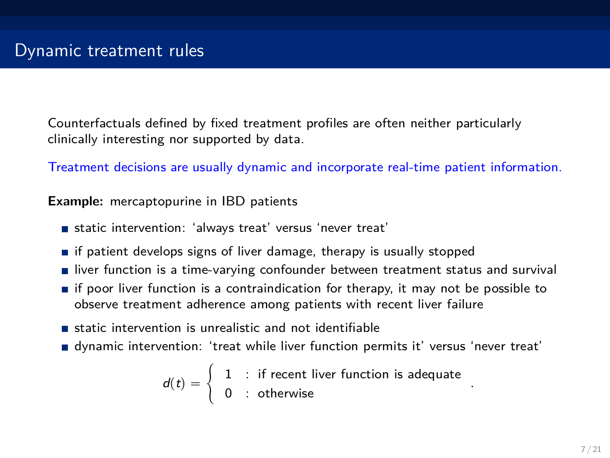Counterfactuals defined by fixed treatment profiles are often neither particularly clinically interesting nor supported by data.

Treatment decisions are usually dynamic and incorporate real-time patient information.

**Example:** mercaptopurine in IBD patients

- static intervention: 'always treat' versus 'never treat'
- $\blacksquare$  if patient develops signs of liver damage, therapy is usually stopped
- **I** liver function is a time-varying confounder between treatment status and survival
- $\blacksquare$  if poor liver function is a contraindication for therapy, it may not be possible to observe treatment adherence among patients with recent liver failure
- static intervention is unrealistic and not identifiable
- dynamic intervention: 'treat while liver function permits it' versus 'never treat'

$$
d(t) = \begin{cases} 1 & \text{: if recent liver function is adequate} \\ 0 & \text{: otherwise} \end{cases}
$$

*.*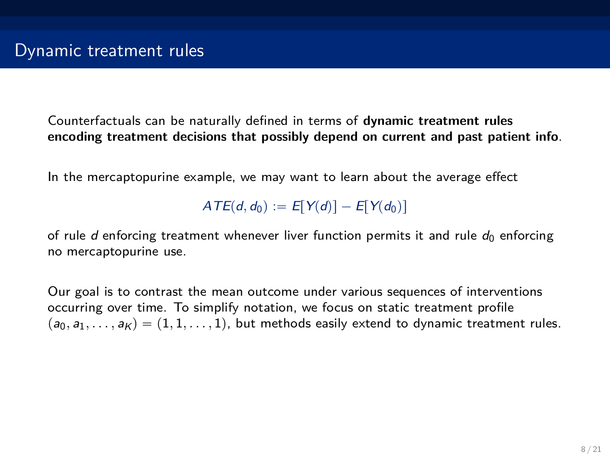Counterfactuals can be naturally defined in terms of **dynamic treatment rules encoding treatment decisions that possibly depend on current and past patient info**.

In the mercaptopurine example, we may want to learn about the average effect

 $ATE(d, d_0) := E[Y(d)] - E[Y(d_0)]$ 

of rule *d* enforcing treatment whenever liver function permits it and rule  $d_0$  enforcing no mercaptopurine use.

Our goal is to contrast the mean outcome under various sequences of interventions occurring over time. To simplify notation, we focus on static treatment profile  $p(a_0, a_1, \ldots, a_K) = (1, 1, \ldots, 1)$ , but methods easily extend to dynamic treatment rules.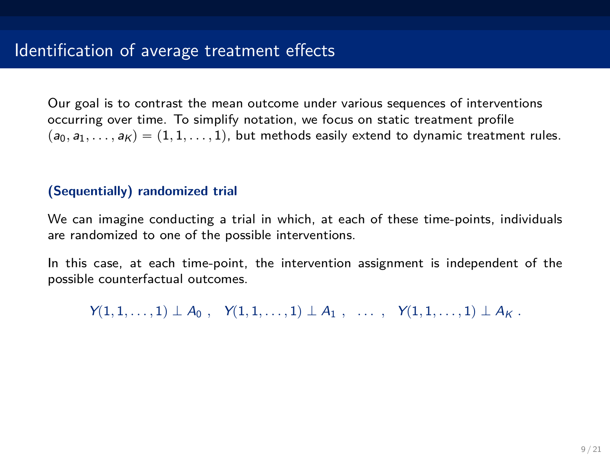Our goal is to contrast the mean outcome under various sequences of interventions occurring over time. To simplify notation, we focus on static treatment profile  $p(a_0, a_1, \ldots, a_K) = (1, 1, \ldots, 1)$ , but methods easily extend to dynamic treatment rules.

## **(Sequentially) randomized trial**

We can imagine conducting a trial in which, at each of these time-points, individuals are randomized to one of the possible interventions.

In this case, at each time-point, the intervention assignment is independent of the possible counterfactual outcomes.

 $Y(1, 1, \ldots, 1) \perp A_0$ ,  $Y(1, 1, \ldots, 1) \perp A_1$ ,  $\ldots$ ,  $Y(1, 1, \ldots, 1) \perp A_K$ .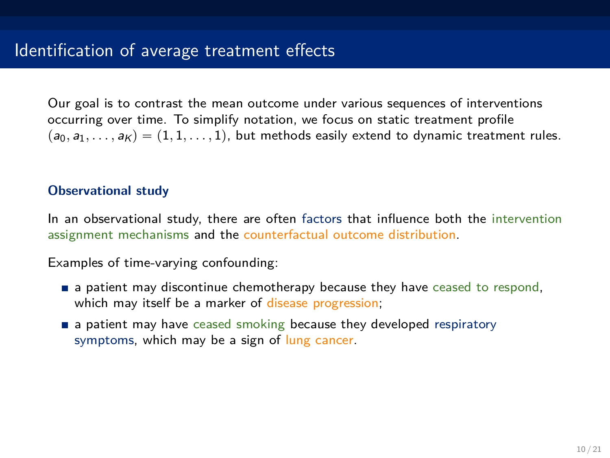Our goal is to contrast the mean outcome under various sequences of interventions occurring over time. To simplify notation, we focus on static treatment profile  $p(a_0, a_1, \ldots, a_K) = (1, 1, \ldots, 1)$ , but methods easily extend to dynamic treatment rules.

### **Observational study**

In an observational study, there are often factors that influence both the intervention assignment mechanisms and the counterfactual outcome distribution.

Examples of time-varying confounding:

- **a** patient may discontinue chemotherapy because they have ceased to respond, which may itself be a marker of disease progression;
- **a** a patient may have ceased smoking because they developed respiratory symptoms, which may be a sign of lung cancer.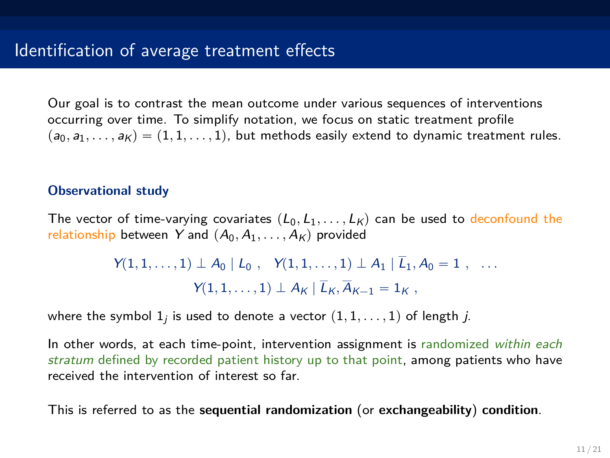Our goal is to contrast the mean outcome under various sequences of interventions occurring over time. To simplify notation, we focus on static treatment profile  $(p_0, a_1, \ldots, a_K) = (1, 1, \ldots, 1)$ , but methods easily extend to dynamic treatment rules.

#### **Observational study**

The vector of time-varying covariates  $(L_0, L_1, \ldots, L_k)$  can be used to deconfound the relationship between *Y* and  $(A_0, A_1, \ldots, A_k)$  provided

$$
Y(1,1,\ldots,1) \perp A_0 \mid L_0, \quad Y(1,1,\ldots,1) \perp A_1 \mid \overline{L}_1, A_0 = 1, \quad \ldots
$$

$$
Y(1,1,\ldots,1) \perp A_K \mid \overline{L}_K, \overline{A}_{K-1} = 1_K,
$$

where the symbol  $1_j$  is used to denote a vector  $(1, 1, \ldots, 1)$  of length *j*.

In other words, at each time-point, intervention assignment is randomized *within each stratum* defined by recorded patient history up to that point, among patients who have received the intervention of interest so far.

This is referred to as the **sequential randomization** (or **exchangeability**) **condition**.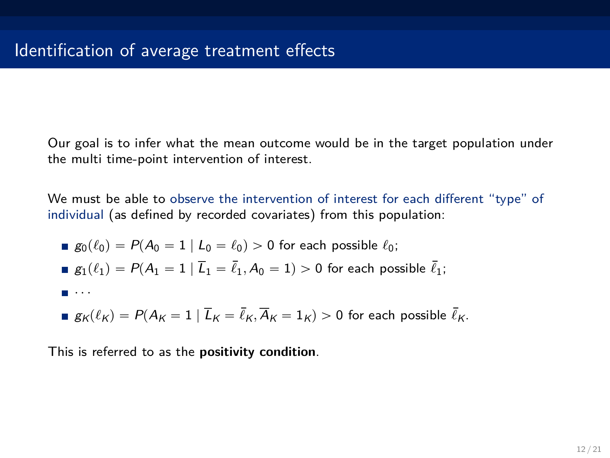Our goal is to infer what the mean outcome would be in the target population under the multi time-point intervention of interest.

We must be able to observe the intervention of interest for each different "type" of individual (as defined by recorded covariates) from this population:

\n- \n
$$
g_0(\ell_0) = P(A_0 = 1 \mid L_0 = \ell_0) > 0 \text{ for each possible } \ell_0;
$$
\n
\n- \n
$$
g_1(\ell_1) = P(A_1 = 1 \mid \overline{L}_1 = \overline{\ell}_1, A_0 = 1) > 0 \text{ for each possible } \overline{\ell}_1;
$$
\n
\n- \n
$$
\ldots
$$
\n
\n

$$
\blacksquare \ g_K(\ell_K) = P(A_K = 1 \mid \overline{L}_K = \overline{\ell}_K, \overline{A}_K = 1_K) > 0 \text{ for each possible } \overline{\ell}_K.
$$

This is referred to as the **positivity condition**.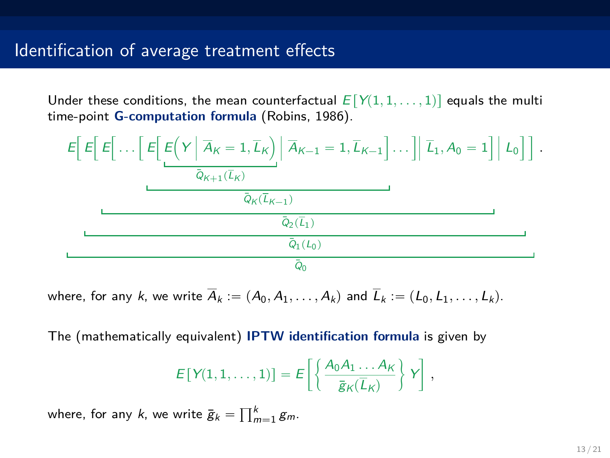Under these conditions, the mean counterfactual  $E[Y(1,1,\ldots,1)]$  equals the multi time-point **G-computation formula** (Robins, 1986).



where, for any *k*, we write  $\overline{A}_k := (A_0, A_1, \ldots, A_k)$  and  $\overline{L}_k := (L_0, L_1, \ldots, L_k)$ .

The (mathematically equivalent) **IPTW identification formula** is given by

$$
E[Y(1,1,\ldots,1)] = E\left[\left\{\frac{A_0A_1\ldots A_K}{\bar{g}_K(\bar{L}_K)}\right\}Y\right],
$$

where, for any  $k$ , we write  $\bar{\mathbf{g}}_k = \prod_{m=1}^k \mathbf{g}_m$ .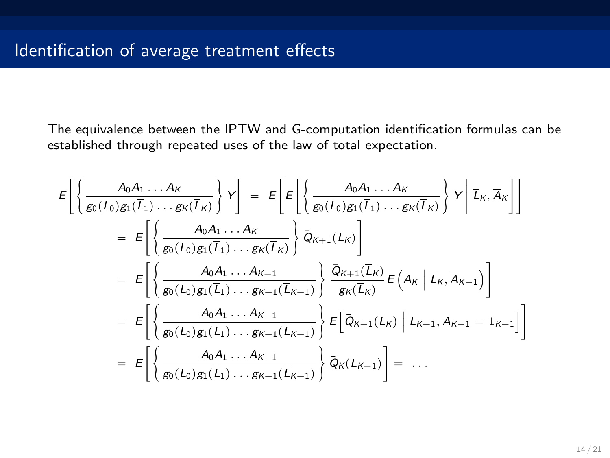The equivalence between the IPTW and G-computation identification formulas can be established through repeated uses of the law of total expectation.

$$
E\left[\left\{\frac{A_0A_1\ldots A_K}{g_0(L_0)g_1(\overline{L}_1)\ldots g_K(\overline{L}_K)}\right\}Y\right] = E\left[E\left[\left\{\frac{A_0A_1\ldots A_K}{g_0(L_0)g_1(\overline{L}_1)\ldots g_K(\overline{L}_K)}\right\}Y\right|\overline{L}_K,\overline{A}_K\right]\right]
$$
  
\n
$$
= E\left[\left\{\frac{A_0A_1\ldots A_K}{g_0(L_0)g_1(\overline{L}_1)\ldots g_K(\overline{L}_K)}\right\}\overline{Q}_{K+1}(\overline{L}_K)\right]
$$
  
\n
$$
= E\left[\left\{\frac{A_0A_1\ldots A_{K-1}}{g_0(L_0)g_1(\overline{L}_1)\ldots g_{K-1}(\overline{L}_{K-1})}\right\}\frac{\overline{Q}_{K+1}(\overline{L}_K)}{g_K(\overline{L}_K)}E\left(A_K | \overline{L}_K, \overline{A}_{K-1}\right)\right]
$$
  
\n
$$
= E\left[\left\{\frac{A_0A_1\ldots A_{K-1}}{g_0(L_0)g_1(\overline{L}_1)\ldots g_{K-1}(\overline{L}_{K-1})}\right\}E\left[\overline{Q}_{K+1}(\overline{L}_K) | \overline{L}_{K-1}, \overline{A}_{K-1} = 1_{K-1}\right]\right]
$$
  
\n
$$
= E\left[\left\{\frac{A_0A_1\ldots A_{K-1}}{g_0(L_0)g_1(\overline{L}_1)\ldots g_{K-1}(\overline{L}_{K-1})}\right\}\overline{Q}_K(\overline{L}_{K-1})\right] = \ldots
$$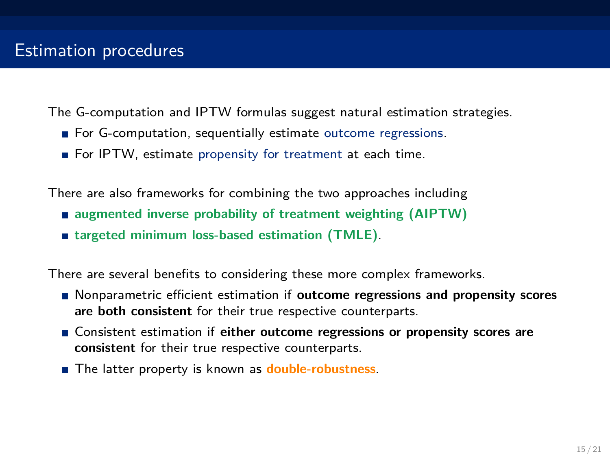The G-computation and IPTW formulas suggest natural estimation strategies.

- For G-computation, sequentially estimate outcome regressions.
- For IPTW, estimate propensity for treatment at each time.

There are also frameworks for combining the two approaches including

- **augmented inverse probability of treatment weighting (AIPTW)**
- **targeted minimum loss-based estimation (TMLE)**.

There are several benefits to considering these more complex frameworks.

- Nonparametric efficient estimation if **outcome regressions and propensity scores are both consistent** for their true respective counterparts.
- Consistent estimation if **either outcome regressions or propensity scores are consistent** for their true respective counterparts.
- The latter property is known as **double-robustness**.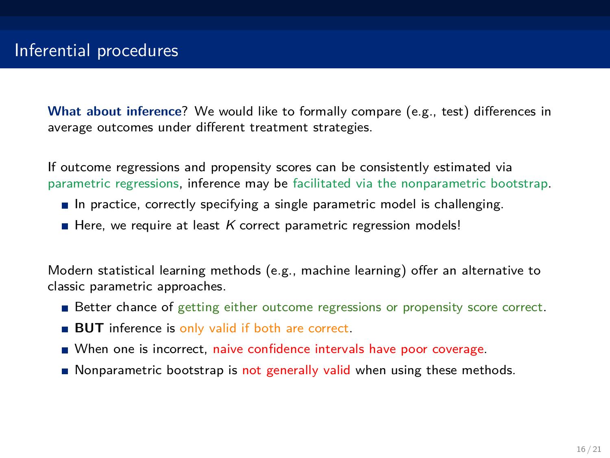**What about inference**? We would like to formally compare (e.g., test) differences in average outcomes under different treatment strategies.

If outcome regressions and propensity scores can be consistently estimated via parametric regressions, inference may be facilitated via the nonparametric bootstrap.

- In practice, correctly specifying a single parametric model is challenging.
- Here, we require at least *K* correct parametric regression models!

Modern statistical learning methods (e.g., machine learning) offer an alternative to classic parametric approaches.

- Better chance of getting either outcome regressions or propensity score correct.
- **BUT** inference is only valid if both are correct.
- When one is incorrect, naive confidence intervals have poor coverage.
- Nonparametric bootstrap is not generally valid when using these methods.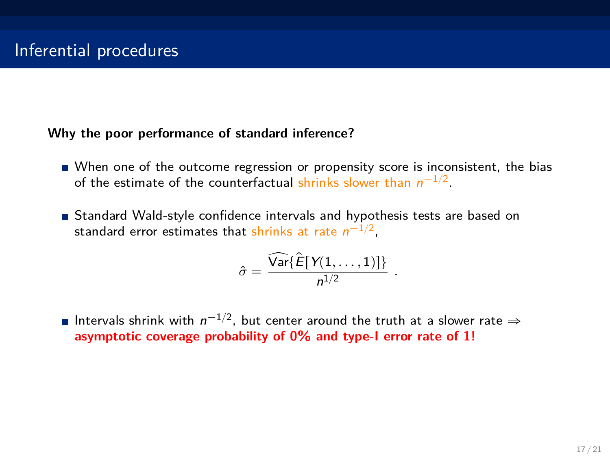#### **Why the poor performance of standard inference?**

- When one of the outcome regression or propensity score is inconsistent, the bias of the estimate of the counterfactual shrinks slower than  $n^{-1/2}$ .
- Standard Wald-style confidence intervals and hypothesis tests are based on standard error estimates that shrinks at rate  $n^{-1/2}$ ,

$$
\hat{\sigma} = \frac{\widehat{\text{Var}}\{\widehat{E}[\text{Y}(1,\ldots,1)]\}}{n^{1/2}}
$$

*.*

Intervals shrink with  $n^{-1/2}$ , but center around the truth at a slower rate  $\Rightarrow$ **asymptotic coverage probability of 0% and type-I error rate of 1!**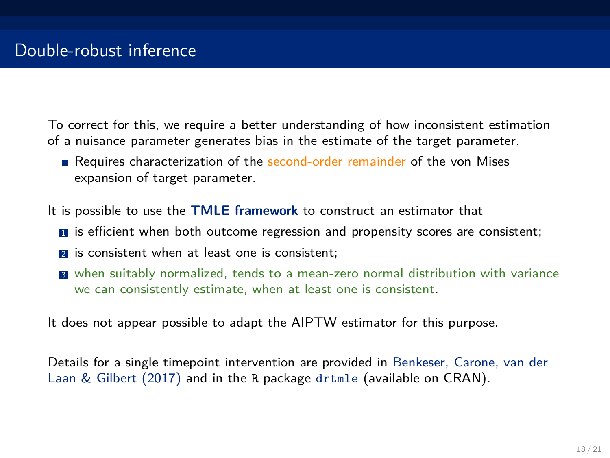To correct for this, we require a better understanding of how inconsistent estimation of a nuisance parameter generates bias in the estimate of the target parameter.

Requires characterization of the second-order remainder of the von Mises expansion of target parameter.

It is possible to use the **TMLE framework** to construct an estimator that

- $\blacksquare$  is efficient when both outcome regression and propensity scores are consistent;
- **2** is consistent when at least one is consistent;
- **3** when suitably normalized, tends to a mean-zero normal distribution with variance we can consistently estimate, when at least one is consistent.

It does not appear possible to adapt the AIPTW estimator for this purpose.

Details for a single timepoint intervention are provided in Benkeser, Carone, van der Laan & Gilbert (2017) and in the R package drtmle (available on CRAN).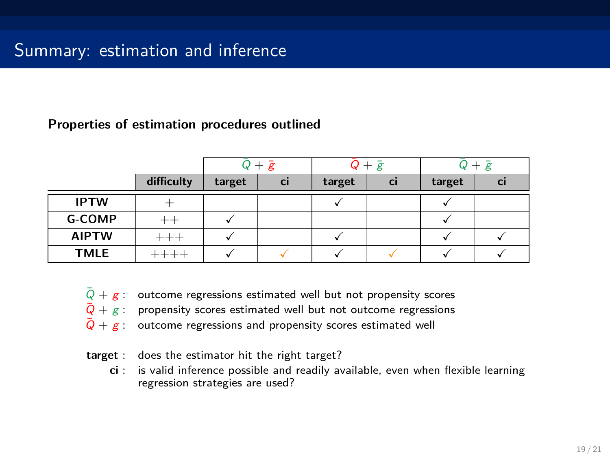#### **Properties of estimation procedures outlined**

|              |            | $Q + \bar{g}$ |           | $Q + \bar{g}$ |           | $+\bar{g}$ |           |
|--------------|------------|---------------|-----------|---------------|-----------|------------|-----------|
|              | difficulty | target        | <b>Ci</b> | target        | <b>Ci</b> | target     | <b>CI</b> |
| <b>IPTW</b>  |            |               |           |               |           |            |           |
| G-COMP       |            |               |           |               |           |            |           |
| <b>AIPTW</b> |            |               |           |               |           |            |           |
| <b>TMLE</b>  |            |               |           |               |           |            |           |

- $Q + g$ : outcome regressions estimated well but not propensity scores
- $\overline{Q}$  + *g* : propensity scores estimated well but not outcome regressions
- $\overline{Q} + g$ : outcome regressions and propensity scores estimated well
- **target** : does the estimator hit the right target?
	- **ci** : is valid inference possible and readily available, even when flexible learning regression strategies are used?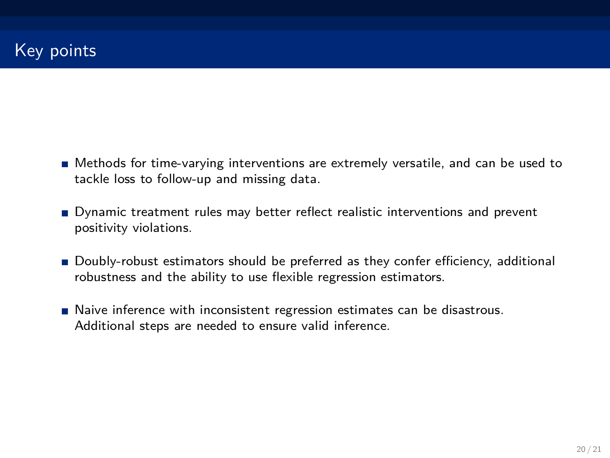- Methods for time-varying interventions are extremely versatile, and can be used to tackle loss to follow-up and missing data.
- Dynamic treatment rules may better reflect realistic interventions and prevent positivity violations.
- **Doubly-robust estimators should be preferred as they confer efficiency, additional** robustness and the ability to use flexible regression estimators.
- Naive inference with inconsistent regression estimates can be disastrous. Additional steps are needed to ensure valid inference.